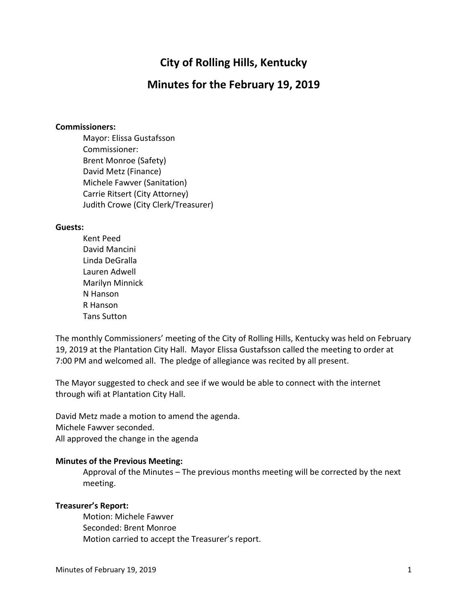# **City of Rolling Hills, Kentucky**

# **Minutes for the February 19, 2019**

#### **Commissioners:**

Mayor: Elissa Gustafsson Commissioner: Brent Monroe (Safety) David Metz (Finance) Michele Fawver (Sanitation) Carrie Ritsert (City Attorney) Judith Crowe (City Clerk/Treasurer)

#### **Guests:**

Kent Peed David Mancini Linda DeGralla Lauren Adwell Marilyn Minnick N Hanson R Hanson Tans Sutton

The monthly Commissioners' meeting of the City of Rolling Hills, Kentucky was held on February 19, 2019 at the Plantation City Hall. Mayor Elissa Gustafsson called the meeting to order at 7:00 PM and welcomed all. The pledge of allegiance was recited by all present.

The Mayor suggested to check and see if we would be able to connect with the internet through wifi at Plantation City Hall.

David Metz made a motion to amend the agenda. Michele Fawver seconded. All approved the change in the agenda

#### **Minutes of the Previous Meeting:**

Approval of the Minutes – The previous months meeting will be corrected by the next meeting.

#### **Treasurer's Report:**

Motion: Michele Fawver Seconded: Brent Monroe Motion carried to accept the Treasurer's report.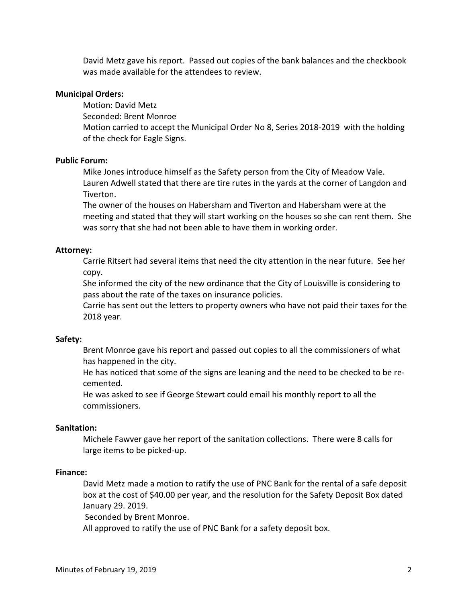David Metz gave his report. Passed out copies of the bank balances and the checkbook was made available for the attendees to review.

# **Municipal Orders:**

Motion: David Metz Seconded: Brent Monroe Motion carried to accept the Municipal Order No 8, Series 2018-2019 with the holding of the check for Eagle Signs.

# **Public Forum:**

Mike Jones introduce himself as the Safety person from the City of Meadow Vale. Lauren Adwell stated that there are tire rutes in the yards at the corner of Langdon and Tiverton.

The owner of the houses on Habersham and Tiverton and Habersham were at the meeting and stated that they will start working on the houses so she can rent them. She was sorry that she had not been able to have them in working order.

# **Attorney:**

Carrie Ritsert had several items that need the city attention in the near future. See her copy.

She informed the city of the new ordinance that the City of Louisville is considering to pass about the rate of the taxes on insurance policies.

Carrie has sent out the letters to property owners who have not paid their taxes for the 2018 year.

#### **Safety:**

Brent Monroe gave his report and passed out copies to all the commissioners of what has happened in the city.

He has noticed that some of the signs are leaning and the need to be checked to be recemented.

He was asked to see if George Stewart could email his monthly report to all the commissioners.

#### **Sanitation:**

Michele Fawver gave her report of the sanitation collections. There were 8 calls for large items to be picked-up.

#### **Finance:**

David Metz made a motion to ratify the use of PNC Bank for the rental of a safe deposit box at the cost of \$40.00 per year, and the resolution for the Safety Deposit Box dated January 29. 2019.

Seconded by Brent Monroe.

All approved to ratify the use of PNC Bank for a safety deposit box.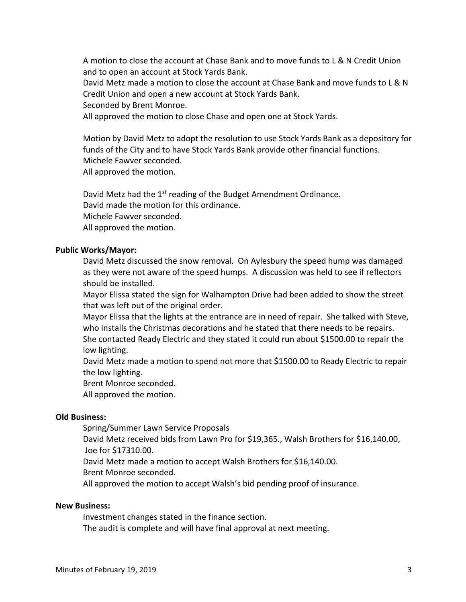A motion to close the account at Chase Bank and to move funds to L & N Credit Union and to open an account at Stock Yards Bank.

David Metz made a motion to close the account at Chase Bank and move funds to L & N Credit Union and open a new account at Stock Yards Bank.

Seconded by Brent Monroe.

All approved the motion to close Chase and open one at Stock Yards.

Motion by David Metz to adopt the resolution to use Stock Yards Bank as a depository for funds of the City and to have Stock Yards Bank provide other financial functions. Michele Fawver seconded. All approved the motion.

David Metz had the 1<sup>st</sup> reading of the Budget Amendment Ordinance. David made the motion for this ordinance. Michele Fawver seconded. All approved the motion.

#### **Public Works/Mayor:**

David Metz discussed the snow removal. On Aylesbury the speed hump was damaged as they were not aware of the speed humps. A discussion was held to see if reflectors should be installed.

Mayor Elissa stated the sign for Walhampton Drive had been added to show the street that was left out of the original order.

Mayor Elissa that the lights at the entrance are in need of repair. She talked with Steve, who installs the Christmas decorations and he stated that there needs to be repairs.

She contacted Ready Electric and they stated it could run about \$1500.00 to repair the low lighting.

David Metz made a motion to spend not more that \$1500.00 to Ready Electric to repair the low lighting.

Brent Monroe seconded.

All approved the motion.

#### **Old Business:**

Spring/Summer Lawn Service Proposals

David Metz received bids from Lawn Pro for \$19,365., Walsh Brothers for \$16,140.00, Joe for \$17310.00.

David Metz made a motion to accept Walsh Brothers for \$16,140.00.

Brent Monroe seconded.

All approved the motion to accept Walsh's bid pending proof of insurance.

#### **New Business:**

Investment changes stated in the finance section.

The audit is complete and will have final approval at next meeting.